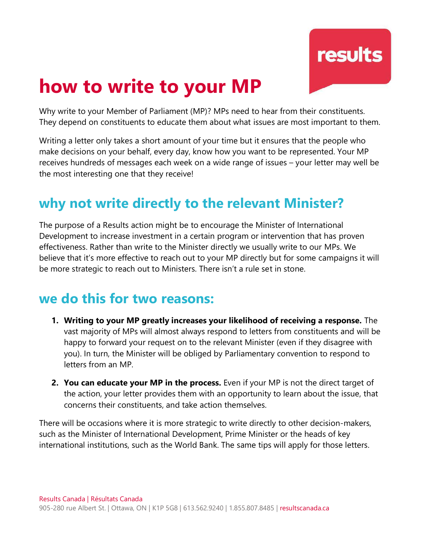

# **how to write to your MP**

Why write to your Member of Parliament (MP)? MPs need to hear from their constituents. They depend on constituents to educate them about what issues are most important to them.

Writing a letter only takes a short amount of your time but it ensures that the people who make decisions on your behalf, every day, know how you want to be represented. Your MP receives hundreds of messages each week on a wide range of issues – your letter may well be the most interesting one that they receive!

## **why not write directly to the relevant Minister?**

The purpose of a Results action might be to encourage the Minister of International Development to increase investment in a certain program or intervention that has proven effectiveness. Rather than write to the Minister directly we usually write to our MPs. We believe that it's more effective to reach out to your MP directly but for some campaigns it will be more strategic to reach out to Ministers. There isn't a rule set in stone.

#### **we do this for two reasons:**

- **1. Writing to your MP greatly increases your likelihood of receiving a response.** The vast majority of MPs will almost always respond to letters from constituents and will be happy to forward your request on to the relevant Minister (even if they disagree with you). In turn, the Minister will be obliged by Parliamentary convention to respond to letters from an MP.
- **2. You can educate your MP in the process.** Even if your MP is not the direct target of the action, your letter provides them with an opportunity to learn about the issue, that concerns their constituents, and take action themselves.

There will be occasions where it is more strategic to write directly to other decision-makers, such as the Minister of International Development, Prime Minister or the heads of key international institutions, such as the World Bank. The same tips will apply for those letters.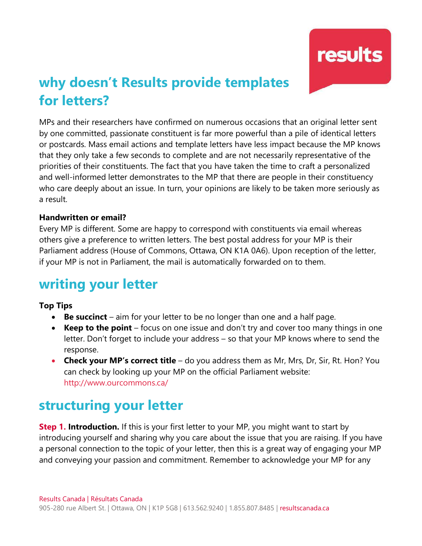results

# **why doesn't Results provide templates for letters?**

MPs and their researchers have confirmed on numerous occasions that an original letter sent by one committed, passionate constituent is far more powerful than a pile of identical letters or postcards. Mass email actions and template letters have less impact because the MP knows that they only take a few seconds to complete and are not necessarily representative of the priorities of their constituents. The fact that you have taken the time to craft a personalized and well-informed letter demonstrates to the MP that there are people in their constituency who care deeply about an issue. In turn, your opinions are likely to be taken more seriously as a result.

#### **Handwritten or email?**

Every MP is different. Some are happy to correspond with constituents via email whereas others give a preference to written letters. The best postal address for your MP is their Parliament address (House of Commons, Ottawa, ON K1A 0A6). Upon reception of the letter, if your MP is not in Parliament, the mail is automatically forwarded on to them.

### **writing your letter**

#### **Top Tips**

- **Be succinct** aim for your letter to be no longer than one and a half page.
- **Keep to the point** focus on one issue and don't try and cover too many things in one letter. Don't forget to include your address – so that your MP knows where to send the response.
- **Check your MP's correct title** do you address them as Mr, Mrs, Dr, Sir, Rt. Hon? You can check by looking up your MP on the official Parliament website: <http://www.ourcommons.ca/>

### **structuring your letter**

**Step 1. Introduction.** If this is your first letter to your MP, you might want to start by introducing yourself and sharing why you care about the issue that you are raising. If you have a personal connection to the topic of your letter, then this is a great way of engaging your MP and conveying your passion and commitment. Remember to acknowledge your MP for any